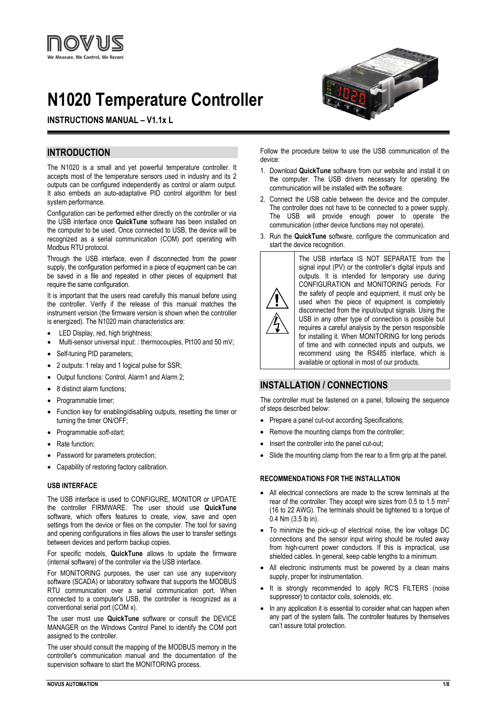

# **N1020 Temperature Controller**

# **INSTRUCTIONS MANUAL – V1.1x L**

# **INTRODUCTION**

The N1020 is a small and yet powerful temperature controller. It accepts most of the temperature sensors used in industry and its 2 outputs can be configured independently as control or alarm output. It also embeds an auto-adaptative PID control algorithm for best system performance.

Configuration can be performed either directly on the controller or via the USB interface once **QuickTune** software has been installed on the computer to be used. Once connected to USB, the device will be recognized as a serial communication (COM) port operating with Modbus RTU protocol.

Through the USB interface, even if disconnected from the power supply, the configuration performed in a piece of equipment can be can be saved in a file and repeated in other pieces of equipment that require the same configuration.

It is important that the users read carefully this manual before using the controller. Verify if the release of this manual matches the instrument version (the firmware version is shown when the controller is energized). The N1020 main characteristics are:

- LED Display, red, high brightness;
- Multi-sensor universal input: : thermocouples, Pt100 and 50 mV;
- Self-tuning PID parameters:
- 2 outputs: 1 relay and 1 logical pulse for SSR;
- Output functions: Control, Alarm1 and Alarm 2;
- 8 distinct alarm functions;
- Programmable timer;
- Function key for enabling/disabling outputs, resetting the timer or turning the timer ON/OFF;
- Programmable *soft-start*;
- Rate function:
- Password for parameters protection;
- Capability of restoring factory calibration.

#### **USB INTERFACE**

The USB interface is used to CONFIGURE, MONITOR or UPDATE the controller FIRMWARE. The user should use **QuickTune** software, which offers features to create, view, save and open settings from the device or files on the computer. The tool for saving and opening configurations in files allows the user to transfer settings between devices and perform backup copies.

For specific models, **QuickTune** allows to update the firmware (internal software) of the controller via the USB interface.

For MONITORING purposes, the user can use any supervisory software (SCADA) or laboratory software that supports the MODBUS RTU communication over a serial communication port. When connected to a computer's USB, the controller is recognized as a conventional serial port (COM x).

The user must use **QuickTune** software or consult the DEVICE MANAGER on the Windows Control Panel to identify the COM port assigned to the controller.

The user should consult the mapping of the MODBUS memory in the controller's communication manual and the documentation of the supervision software to start the MONITORING process.



Follow the procedure below to use the USB communication of the device:

- 1. Download **QuickTune** software from our website and install it on the computer. The USB drivers necessary for operating the communication will be installed with the software.
- 2. Connect the USB cable between the device and the computer. The controller does not have to be connected to a power supply. The USB will provide enough power to operate the communication (other device functions may not operate).
- 3. Run the **QuickTune** software, configure the communication and start the device recognition.



The USB interface IS NOT SEPARATE from the signal input (PV) or the controller's digital inputs and outputs. It is intended for temporary use during CONFIGURATION and MONITORING periods. For the safety of people and equipment, it must only be used when the piece of equipment is completely disconnected from the input/output signals. Using the USB in any other type of connection is possible but requires a careful analysis by the person responsible for installing it. When MONITORING for long periods of time and with connected inputs and outputs, we recommend using the RS485 interface, which is available or optional in most of our products.

# **INSTALLATION / CONNECTIONS**

The controller must be fastened on a panel, following the sequence of steps described below:

- Prepare a panel cut-out according Specifications;
- Remove the mounting clamps from the controller;
- Insert the controller into the panel cut-out;
- Slide the mounting clamp from the rear to a firm grip at the panel.

# **RECOMMENDATIONS FOR THE INSTALLATION**

- All electrical connections are made to the screw terminals at the rear of the controller. They accept wire sizes from 0.5 to 1.5 mm2 (16 to 22 AWG). The terminals should be tightened to a torque of 0.4 Nm (3.5 lb in).
- To minimize the pick-up of electrical noise, the low voltage DC connections and the sensor input wiring should be routed away from high-current power conductors. If this is impractical, use shielded cables. In general, keep cable lengths to a minimum.
- All electronic instruments must be powered by a clean mains supply, proper for instrumentation.
- It is strongly recommended to apply RC'S FILTERS (noise suppressor) to contactor coils, solenoids, etc.
- In any application it is essential to consider what can happen when any part of the system fails. The controller features by themselves can't assure total protection.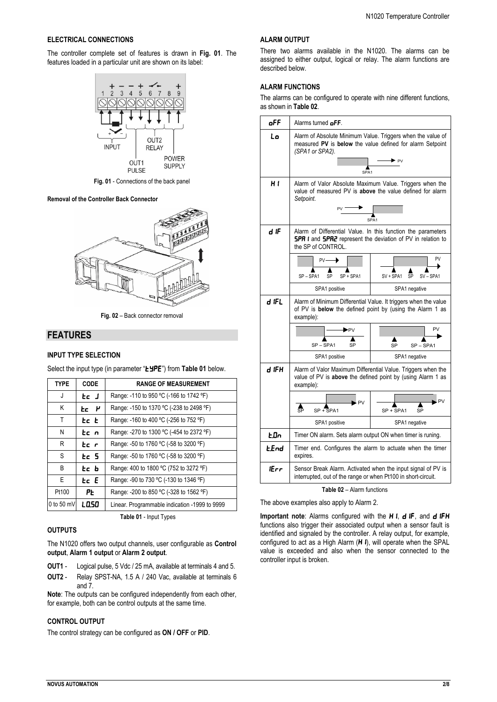## **ELECTRICAL CONNECTIONS**

The controller complete set of features is drawn in **Fig. 01**. The features loaded in a particular unit are shown on its label:



**Fig. 01** - Connections of the back panel

#### **Removal of the Controller Back Connector**



**Fig. 02** – Back connector removal

# **FEATURES**

## **INPUT TYPE SELECTION**

Select the input type (in parameter "**EYPE**") from Table 01 below.

| <b>TYPE</b>  | <b>CODE</b> | <b>RANGE OF MEASUREMENT</b>                   |  |
|--------------|-------------|-----------------------------------------------|--|
| J            | tc J        | Range: -110 to 950 °C (-166 to 1742 °F)       |  |
| Κ            | tc H        | Range: -150 to 1370 °C (-238 to 2498 °F)      |  |
| T            | tc t        | Range: -160 to 400 °C (-256 to 752 °F)        |  |
| N            | tc n        | Range: -270 to 1300 °C (-454 to 2372 °F)      |  |
| R            | tc r        | Range: -50 to 1760 °C (-58 to 3200 °F)        |  |
| S            | Ec 5        | Range: -50 to 1760 °C (-58 to 3200 °F)        |  |
| B            | tc b        | Range: 400 to 1800 °C (752 to 3272 °F)        |  |
| E            | Ec E        | Range: -90 to 730 °C (-130 to 1346 °F)        |  |
| Pt100        | ΡĿ          | Range: -200 to 850 °C (-328 to 1562 °F)       |  |
| $0$ to 50 mV | L 0.50      | Linear. Programmable indication -1999 to 9999 |  |

**Table 01** - Input Types

## **OUTPUTS**

The N1020 offers two output channels, user configurable as **Control output**, **Alarm 1 output** or **Alarm 2 output**.

- **OUT1** Logical pulse, 5 Vdc / 25 mA, available at terminals 4 and 5.
- **OUT2** Relay SPST-NA, 1.5 A / 240 Vac, available at terminals 6 and 7.

**Note**: The outputs can be configured independently from each other, for example, both can be control outputs at the same time.

## **CONTROL OUTPUT**

The control strategy can be configured as **ON / OFF** or **PID**.

#### **ALARM OUTPUT**

There two alarms available in the N1020. The alarms can be assigned to either output, logical or relay. The alarm functions are described below.

## **ALARM FUNCTIONS**

The alarms can be configured to operate with nine different functions, as shown in **Table 02**.

| $o$ FF      | Alarms turned oFF.                                                                                                                                               |               |  |  |
|-------------|------------------------------------------------------------------------------------------------------------------------------------------------------------------|---------------|--|--|
| Lo          | Alarm of Absolute Minimum Value. Triggers when the value of<br>measured PV is below the value defined for alarm Setpoint<br>(SPA1 or SPA2).<br>$S\overline{PA1}$ |               |  |  |
| H1          | Alarm of Valor Absolute Maximum Value. Triggers when the<br>value of measured PV is above the value defined for alarm<br>Setpoint.<br>SPA <sub>1</sub>           |               |  |  |
| d IF        | Alarm of Differential Value. In this function the parameters<br><b>SPR I</b> and <b>SPR2</b> represent the deviation of PV in relation to<br>the SP of CONTROL.  |               |  |  |
|             | PV<br>$PV -$<br>SP + SPA1<br>SV + SPA1<br>SV-SPA1<br>SP-SPA1<br>SP<br>SP                                                                                         |               |  |  |
|             | SPA1 positive<br>SPA1 negative                                                                                                                                   |               |  |  |
| d IFL       | Alarm of Minimum Differential Value. It triggers when the value<br>of PV is below the defined point by (using the Alarm 1 as<br>example):<br><b>PV</b><br>▶PV    |               |  |  |
|             | SP-SPA1<br>SP                                                                                                                                                    | SP<br>SP-SPA1 |  |  |
|             | SPA1 positive<br>SPA1 negative                                                                                                                                   |               |  |  |
| d iFH       | Alarm of Valor Maximum Differential Value. Triggers when the<br>value of PV is above the defined point by (using Alarm 1 as<br>example):                         |               |  |  |
|             | . PV<br>. PV<br>å,<br>$SP + SPA1$<br>SP + SPA1<br><b>SP</b>                                                                                                      |               |  |  |
|             | SPA1 positive<br>SPA1 negative                                                                                                                                   |               |  |  |
| <b>E</b> Dn | Timer ON alarm. Sets alarm output ON when timer is runing.                                                                                                       |               |  |  |
| EEnd        | Timer end. Configures the alarm to actuate when the timer<br>expires.                                                                                            |               |  |  |
| lErr        | Sensor Break Alarm. Activated when the input signal of PV is<br>interrupted, out of the range or when Pt100 in short-circuit.                                    |               |  |  |

**Table 02** – Alarm functions

The above examples also apply to Alarm 2.

**Important note:** Alarms configured with the H I, d IF, and d IFH functions also trigger their associated output when a sensor fault is identified and signaled by the controller. A relay output, for example, configured to act as a High Alarm  $(H I)$ , will operate when the SPAL value is exceeded and also when the sensor connected to the controller input is broken.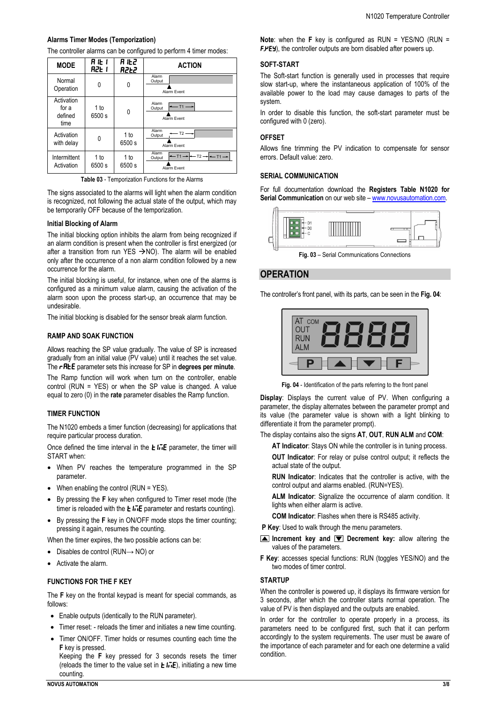## **Alarms Timer Modes (Temporization)**

The controller alarms can be configured to perform 4 timer modes:

| <b>MODE</b>                            | RIEI<br><b>R2E 1</b> | R IEZ<br><b>A2Ł2</b> | <b>ACTION</b>                                                                  |  |
|----------------------------------------|----------------------|----------------------|--------------------------------------------------------------------------------|--|
| Normal<br>Operation                    | 0                    | 0                    | Alarm<br>Output<br>Alarm Event                                                 |  |
| Activation<br>for a<br>defined<br>time | 1 to<br>6500 s       | 0                    | Alarm<br>T1<br>Output<br>Alarm Fvent                                           |  |
| Activation<br>with delay               | 0                    | 1 to<br>6500 s       | Alarm<br>$T2 -$<br>Output<br>Alarm Event                                       |  |
| Intermittent<br>Activation             | 1 to<br>6500 s       | 1 to<br>6500 s       | Alarm<br>$-11-$<br>$T2 \rightarrow T1 \rightarrow T1$<br>Output<br>Alarm Event |  |

**Table 03** - Temporization Functions for the Alarms

The signs associated to the alarms will light when the alarm condition is recognized, not following the actual state of the output, which may be temporarily OFF because of the temporization.

#### **Initial Blocking of Alarm**

The initial blocking option inhibits the alarm from being recognized if an alarm condition is present when the controller is first energized (or after a transition from run YES  $\rightarrow$ NO). The alarm will be enabled only after the occurrence of a non alarm condition followed by a new occurrence for the alarm.

The initial blocking is useful, for instance, when one of the alarms is configured as a minimum value alarm, causing the activation of the alarm soon upon the process start-up, an occurrence that may be undesirable.

The initial blocking is disabled for the sensor break alarm function.

## **RAMP AND SOAK FUNCTION**

Allows reaching the SP value gradually. The value of SP is increased gradually from an initial value (PV value) until it reaches the set value. The **rREE** parameter sets this increase for SP in **degrees per minute**.

The Ramp function will work when turn on the controller, enable control (RUN = YES) or when the SP value is changed. A value equal to zero (0) in the **rate** parameter disables the Ramp function.

#### **TIMER FUNCTION**

The N1020 embeds a timer function (decreasing) for applications that require particular process duration.

Once defined the time interval in the  $E I \cdot \overline{E}$  parameter, the timer will START when:

- When PV reaches the temperature programmed in the SP parameter.
- When enabling the control (RUN = YES).
- By pressing the **F** key when configured to Timer reset mode (the timer is reloaded with the  $E I \cdot \overline{E}$  parameter and restarts counting).
- By pressing the **F** key in ON/OFF mode stops the timer counting; pressing it again, resumes the counting.

When the timer expires, the two possible actions can be:

- Disables de control (RUN→ NO) or
- Activate the alarm.

## **FUNCTIONS FOR THE F KEY**

The **F** key on the frontal keypad is meant for special commands, as follows:

- Enable outputs (identically to the RUN parameter).
- Timer reset: reloads the timer and initiates a new time counting.
- Timer ON/OFF. Timer holds or resumes counting each time the **F** key is pressed.

Keeping the **F** key pressed for 3 seconds resets the timer (reloads the timer to the value set in  $E \sqrt{nE}$ ), initiating a new time counting.

#### **SOFT-START**

The Soft-start function is generally used in processes that require slow start-up, where the instantaneous application of 100% of the available power to the load may cause damages to parts of the system.

In order to disable this function, the soft-start parameter must be configured with 0 (zero).

#### **OFFSET**

Allows fine trimming the PV indication to compensate for sensor errors. Default value: zero.

#### **SERIAL COMMUNICATION**

For full documentation download the **Registers Table N1020 for Serial Communication** on our web site – [www.novusautomation.com.](http://www.novusautomation.com/)



**Fig. 03** – Serial Communications Connections

## **OPERATION**

The controller's front panel, with its parts, can be seen in the **Fig. 04**:



**Fig. 04** - Identification of the parts referring to the front panel

**Display**: Displays the current value of PV. When configuring a parameter, the display alternates between the parameter prompt and its value (the parameter value is shown with a light blinking to differentiate it from the parameter prompt).

The display contains also the signs **AT**, **OUT**, **RUN ALM** and **COM**:

**AT Indicator**: Stays ON while the controller is in tuning process.

**OUT Indicator**: For relay or pulse control output; it reflects the actual state of the output.

**RUN Indicator**: Indicates that the controller is active, with the control output and alarms enabled. (RUN=YES).

**ALM Indicator**: Signalize the occurrence of alarm condition. It lights when either alarm is active.

**COM Indicator**: Flashes when there is RS485 activity.

**P Key**: Used to walk through the menu parameters.

- **Increment key and Decrement key:** allow altering the values of the parameters.
- **F Key**: accesses special functions: RUN (toggles YES/NO) and the two modes of timer control.

#### **STARTUP**

When the controller is powered up, it displays its firmware version for 3 seconds, after which the controller starts normal operation. The value of PV is then displayed and the outputs are enabled.

In order for the controller to operate properly in a process, its parameters need to be configured first, such that it can perform accordingly to the system requirements. The user must be aware of the importance of each parameter and for each one determine a valid condition.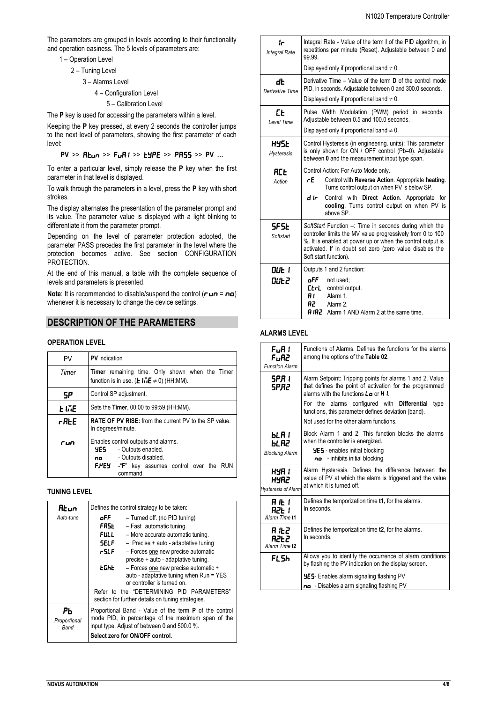The parameters are grouped in levels according to their functionality and operation easiness. The 5 levels of parameters are:

- 1 Operation Level
	- 2 Tuning Level
		- 3 Alarms Level
			- 4 Configuration Level
				- 5 Calibration Level

The **P** key is used for accessing the parameters within a level.

Keeping the **P** key pressed, at every 2 seconds the controller jumps to the next level of parameters, showing the first parameter of each level:

**PV** >> **REun** >> **FuRI** >> **EYPE** >> **PR55** >> **PV** ...

To enter a particular level, simply release the **P** key when the first parameter in that level is displayed.

To walk through the parameters in a level, press the **P** key with short strokes.

The display alternates the presentation of the parameter prompt and its value. The parameter value is displayed with a light blinking to differentiate it from the parameter prompt.

Depending on the level of parameter protection adopted, the parameter PASS precedes the first parameter in the level where the protection becomes active. See section CONFIGURATION PROTECTION.

At the end of this manual, a table with the complete sequence of levels and parameters is presented.

**Note:** It is recommended to disable/suspend the control  $(ruv = nu)$ whenever it is necessary to change the device settings.

# **DESCRIPTION OF THE PARAMETERS**

# **OPERATION LEVEL**

| PV    | <b>PV</b> indication                                                                                                                                    |  |  |
|-------|---------------------------------------------------------------------------------------------------------------------------------------------------------|--|--|
| Timer | Timer remaining time. Only shown when the Timer<br>function is in use. ( <b>L</b> $I\overline{v}I\overline{E} \neq 0$ ) (HH:MM).                        |  |  |
| SP    | Control SP adjustment.                                                                                                                                  |  |  |
| F IME | Sets the Timer, 00:00 to 99:59 (HH:MM).                                                                                                                 |  |  |
| rfile | <b>RATE OF PV RISE:</b> from the current PV to the SP value.<br>In degrees/minute.                                                                      |  |  |
| run   | Enables control outputs and alarms.<br>YES –<br>- Outputs enabled.<br>no - Outputs disabled.<br>F.PEY -"F" key assumes control over the RUN<br>command. |  |  |

## **TUNING LEVEL**

| Rt un                | Defines the control strategy to be taken:                                                          |                                                               |  |  |
|----------------------|----------------------------------------------------------------------------------------------------|---------------------------------------------------------------|--|--|
| Auto-tune            | oFF.<br>- Turned off. (no PID tuning)                                                              |                                                               |  |  |
|                      | <b>FRSL</b><br>- Fast automatic tuning.                                                            |                                                               |  |  |
|                      | <b>FULL</b>                                                                                        | - More accurate automatic tuning.                             |  |  |
|                      | <b>SELF</b><br>$-$ Precise + auto - adaptative tuning                                              |                                                               |  |  |
|                      | r SLF.<br>- Forces one new precise automatic                                                       |                                                               |  |  |
|                      |                                                                                                    | precise + auto - adaptative tuning.                           |  |  |
|                      | <b>EGHE</b>                                                                                        | - Forces one new precise automatic +                          |  |  |
|                      |                                                                                                    | auto - adaptative tuning when Run = YES                       |  |  |
|                      |                                                                                                    | or controller is turned on.                                   |  |  |
|                      |                                                                                                    | Refer to the "DETERMINING PID PARAMETERS"                     |  |  |
|                      |                                                                                                    | section for further details on tuning strategies.             |  |  |
| РЬ                   |                                                                                                    | Proportional Band - Value of the term <b>P</b> of the control |  |  |
| Proportional<br>Band | mode PID, in percentage of the maximum span of the<br>input type. Adjust of between 0 and 500.0 %. |                                                               |  |  |
|                      |                                                                                                    | Select zero for ON/OFF control.                               |  |  |

| Ir<br><b>Integral Rate</b>       | Integral Rate - Value of the term I of the PID algorithm, in<br>repetitions per minute (Reset). Adjustable between 0 and<br>99.99.                                                                                                                                      |  |  |
|----------------------------------|-------------------------------------------------------------------------------------------------------------------------------------------------------------------------------------------------------------------------------------------------------------------------|--|--|
|                                  | Displayed only if proportional band $\neq 0$ .                                                                                                                                                                                                                          |  |  |
| dE<br>Derivative Time            | Derivative Time $-$ Value of the term <b>D</b> of the control mode<br>PID, in seconds. Adjustable between 0 and 300.0 seconds.                                                                                                                                          |  |  |
|                                  | Displayed only if proportional band $\neq 0$ .                                                                                                                                                                                                                          |  |  |
| ГĿ<br>I evel Time                | Pulse Width Modulation (PWM) period in seconds.<br>Adjustable between 0.5 and 100.0 seconds.                                                                                                                                                                            |  |  |
|                                  | Displayed only if proportional band $\neq 0$ .                                                                                                                                                                                                                          |  |  |
| <b>HYSE</b><br><b>Hysteresis</b> | Control Hysteresis (in engineering, units): This parameter<br>is only shown for ON / OFF control (Pb=0). Adjustable<br>between 0 and the measurement input type span.                                                                                                   |  |  |
| RCE<br>Action                    | Control Action: For Auto Mode only.<br>rE -<br>Control with Reverse Action. Appropriate heating.<br>Turns control output on when PV is below SP.<br>d Ir I<br>Control with Direct Action. Appropriate for<br>cooling. Turns control output on when PV is<br>above SP.   |  |  |
| SF SE<br>Softstart               | SoftStart Function -: Time in seconds during which the<br>controller limits the MV value progressively from 0 to 100<br>%. It is enabled at power up or when the control output is<br>activated. If in doubt set zero (zero value disables the<br>Soft start function). |  |  |
| DUE 1<br>DUŁ2                    | Outputs 1 and 2 function:<br>oFF -<br>not used:<br><b>Etrl</b><br>control output.<br>Alarm 1<br>81. L<br>R2<br>Alarm 2.<br><b>RIR2</b> Alarm 1 AND Alarm 2 at the same time.                                                                                            |  |  |

## **ALARMS LEVEL**

| FuR I<br>FuR2<br><b>Function Alarm</b>             | Functions of Alarms. Defines the functions for the alarms<br>among the options of the Table 02.                                                                        |  |  |
|----------------------------------------------------|------------------------------------------------------------------------------------------------------------------------------------------------------------------------|--|--|
| 5P.R I<br>SPR2                                     | Alarm Setpoint: Tripping points for alarms 1 and 2. Value<br>that defines the point of activation for the programmed<br>alarms with the functions $L \bullet$ or $H L$ |  |  |
|                                                    | For the alarms configured with Differential<br>type<br>functions, this parameter defines deviation (band).                                                             |  |  |
|                                                    | Not used for the other alarm functions                                                                                                                                 |  |  |
| Ы. Я 1<br><b>PLBS</b><br><b>Blocking Alarm</b>     | Block Alarm 1 and 2: This function blocks the alarms<br>when the controller is energized.<br><b>HES</b> - enables initial blocking                                     |  |  |
|                                                    | - inhibits initial blocking<br>no                                                                                                                                      |  |  |
| HYR 1<br><b>HYR2</b><br><b>Hysteresis of Alarm</b> | Alarm Hysteresis. Defines the difference between the<br>value of PV at which the alarm is triggered and the value<br>at which it is turned off.                        |  |  |
| R IE I<br>82E 1<br>Alarm Time t1                   | Defines the temporization time <b>t1</b> , for the alarms.<br>In seconds.                                                                                              |  |  |
| R IŁZ<br>82E2<br>Alarm Time t2                     | Defines the temporization time t2, for the alarms.<br>In seconds.                                                                                                      |  |  |
| FL 5h                                              | Allows you to identify the occurrence of alarm conditions<br>by flashing the PV indication on the display screen.                                                      |  |  |
|                                                    | <b>YES</b> - Enables alarm signaling flashing PV                                                                                                                       |  |  |
|                                                    | no - Disables alarm signaling flashing PV                                                                                                                              |  |  |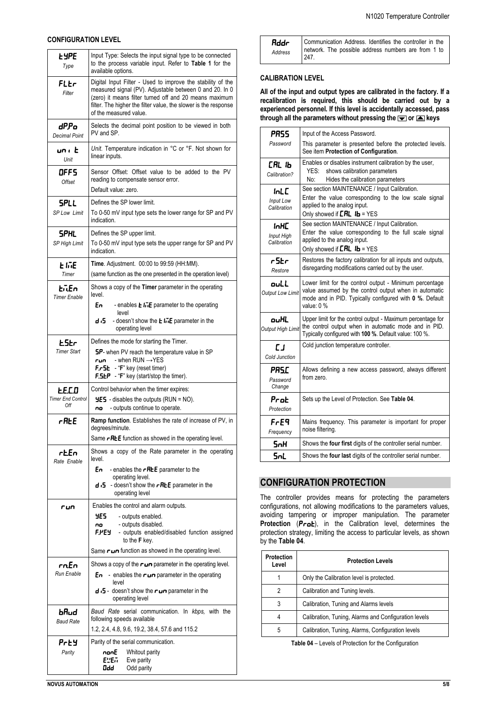### **CONFIGURATION LEVEL**

| <b>LYPE</b><br>Type                | Input Type: Selects the input signal type to be connected<br>to the process variable input. Refer to Table 1 for the<br>available options.                                                                                                                                    |  |  |
|------------------------------------|-------------------------------------------------------------------------------------------------------------------------------------------------------------------------------------------------------------------------------------------------------------------------------|--|--|
| FLEr<br>Filter                     | Digital Input Filter - Used to improve the stability of the<br>measured signal (PV). Adjustable between 0 and 20. In 0<br>(zero) it means filter turned off and 20 means maximum<br>filter. The higher the filter value, the slower is the response<br>of the measured value. |  |  |
| dP.Po<br><b>Decimal Point</b>      | Selects the decimal point position to be viewed in both<br>PV and SP.                                                                                                                                                                                                         |  |  |
| unı E<br>Unit                      | Unit. Temperature indication in °C or °F. Not shown for<br>linear inputs.                                                                                                                                                                                                     |  |  |
| OFF5<br>Offset                     | Sensor Offset: Offset value to be added to the PV<br>reading to compensate sensor error.<br>Default value: zero.                                                                                                                                                              |  |  |
| <b>SPLL</b>                        | Defines the SP lower limit.                                                                                                                                                                                                                                                   |  |  |
| <b>SP Low Limit</b>                | To 0-50 mV input type sets the lower range for SP and PV<br>indication.                                                                                                                                                                                                       |  |  |
| <b>SPHL</b><br>SP High Limit       | Defines the SP upper limit.<br>To 0-50 mV input type sets the upper range for SP and PV<br>indication.                                                                                                                                                                        |  |  |
| E IJE<br>Timer                     | Time. Adjustment. 00:00 to 99:59 (HH:MM).<br>(same function as the one presented in the operation level)                                                                                                                                                                      |  |  |
| EilEn                              | Shows a copy of the Timer parameter in the operating                                                                                                                                                                                                                          |  |  |
| <b>Timer Enable</b>                | level.<br>En<br>- enables $\mathsf{E}$ li. E parameter to the operating                                                                                                                                                                                                       |  |  |
|                                    | level<br>d :5<br>- doesn't show the <b>L</b> $\overline{he}$ parameter in the<br>operating level                                                                                                                                                                              |  |  |
| <b>E</b> SEr<br><b>Timer Start</b> | Defines the mode for starting the Timer.<br><b>5P-</b> when PV reach the temperature value in SP<br>- when $RUN \rightarrow YES$<br>run.<br><b>F.-5L</b> - "F" key (reset timer)<br><b>F.5LP</b> - "F" key (start/stop the timer).                                            |  |  |
| EE.C.D                             | Control behavior when the timer expires:                                                                                                                                                                                                                                      |  |  |
| <b>Timer End Control</b><br>Off    | $\frac{1}{2}$ - disables the outputs (RUN = NO).<br>- outputs continue to operate.<br>no                                                                                                                                                                                      |  |  |
| rAŁE                               | Ramp function. Establishes the rate of increase of PV, in<br>degrees/minute.<br>Same <b>- RLE</b> function as showed in the operating level.                                                                                                                                  |  |  |
| rtEn                               | Shows a copy of the Rate parameter in the operating                                                                                                                                                                                                                           |  |  |
| Rate Enable                        | level.                                                                                                                                                                                                                                                                        |  |  |
|                                    | En<br>- enables the $r$ REE parameter to the<br>operating level.                                                                                                                                                                                                              |  |  |
|                                    | d $\cdot$ 5 - doesn't show the $\cdot$ RE parameter in the<br>operating level                                                                                                                                                                                                 |  |  |
| run                                | Enables the control and alarm outputs.                                                                                                                                                                                                                                        |  |  |
|                                    | YE5<br>- outputs enabled.<br>- outputs disabled.<br>no                                                                                                                                                                                                                        |  |  |
|                                    | F.PEY<br>- outputs enabled/disabled function assigned<br>to the F key.                                                                                                                                                                                                        |  |  |
|                                    | Same $\blacksquare$ function as showed in the operating level.                                                                                                                                                                                                                |  |  |
| rnEn<br>Run Enable                 | Shows a copy of the $\sim$ parameter in the operating level.                                                                                                                                                                                                                  |  |  |
|                                    | <b>E</b> n - enables the $\mathsf{run}$ parameter in the operating<br>level<br>d .5 - doesn't show the run parameter in the                                                                                                                                                   |  |  |
|                                    | operating level                                                                                                                                                                                                                                                               |  |  |
| bRud<br><b>Baud Rate</b>           | Baud Rate serial communication. In kbps, with the<br>following speeds available                                                                                                                                                                                               |  |  |
|                                    | 1.2, 2.4, 4.8, 9.6, 19.2, 38.4, 57.6 and 115.2                                                                                                                                                                                                                                |  |  |
| Prey<br>Parity                     | Parity of the serial communication.<br>nonE<br>Whitout parity                                                                                                                                                                                                                 |  |  |
|                                    | EWEN<br>Eve parity<br>Odd<br>Odd parity                                                                                                                                                                                                                                       |  |  |

| Rddr    | Communication Address. Identifies the controller in the     |
|---------|-------------------------------------------------------------|
| Address | network. The possible address numbers are from 1 to<br>247. |

## **CALIBRATION LEVEL**

**All of the input and output types are calibrated in the factory. If a recalibration is required, this should be carried out by a experienced personnel. If this level is accidentally accessed, pass**  through all the parameters without pressing the  $\equiv$  or  $\equiv$  keys

| PRSS                                           | Input of the Access Password.                                                                                                                                                             |
|------------------------------------------------|-------------------------------------------------------------------------------------------------------------------------------------------------------------------------------------------|
| Password                                       | This parameter is presented before the protected levels.<br>See item Protection of Configuration.                                                                                         |
| <b>СЯL IЬ</b><br>Calibration?                  | Enables or disables instrument calibration by the user,<br>YES:<br>shows calibration parameters<br>Hides the calibration parameters<br>No:                                                |
| <b>InLC</b><br><b>Input Low</b><br>Calibration | See section MAINTENANCE / Input Calibration.<br>Enter the value corresponding to the low scale signal<br>applied to the analog input.<br>Only showed if $EHL$ $1L = YES$                  |
| inHC<br><b>Input High</b><br>Calibration       | See section MAINTENANCE / Input Calibration.<br>Enter the value corresponding to the full scale signal<br>applied to the analog input.<br>Only showed if $EHL$ $1b = YES$                 |
| r5Er<br>Restore                                | Restores the factory calibration for all inputs and outputs,<br>disregarding modifications carried out by the user.                                                                       |
| ouLL<br><b>Output Low Limit</b>                | Lower limit for the control output - Minimum percentage<br>value assumed by the control output when in automatic<br>mode and in PID. Typically configured with 0 %. Default<br>value: 0 % |
| ouHL<br>Output High Limit                      | Upper limit for the control output - Maximum percentage for<br>the control output when in automatic mode and in PID.<br>Typically configured with 100 %. Default value: 100 %.            |
| E J<br>Cold Junction                           | Cold junction temperature controller.                                                                                                                                                     |
| PRSC<br>Password<br>Change                     | Allows defining a new access password, always different<br>from zero                                                                                                                      |
| Prot<br>Protection                             | Sets up the Level of Protection. See Table 04.                                                                                                                                            |
| Fre9<br>Frequency                              | Mains frequency. This parameter is important for proper<br>noise filtering.                                                                                                               |
| SnH                                            | Shows the four first digits of the controller serial number.                                                                                                                              |
| <b>SnL</b>                                     | Shows the four last digits of the controller serial number.                                                                                                                               |

# **CONFIGURATION PROTECTION**

The controller provides means for protecting the parameters configurations, not allowing modifications to the parameters values, avoiding tampering or improper manipulation. The parameter Protection (Prot), in the Calibration level, determines the protection strategy, limiting the access to particular levels, as shown by the **Table 04**.

| <b>Protection</b><br>Level | <b>Protection Levels</b>                             |
|----------------------------|------------------------------------------------------|
|                            | Only the Calibration level is protected.             |
| 2                          | Calibration and Tuning levels.                       |
| 3                          | Calibration, Tuning and Alarms levels                |
| 4                          | Calibration, Tuning, Alarms and Configuration levels |
| 5                          | Calibration, Tuning, Alarms, Configuration levels    |

**Table 04** – Levels of Protection for the Configuration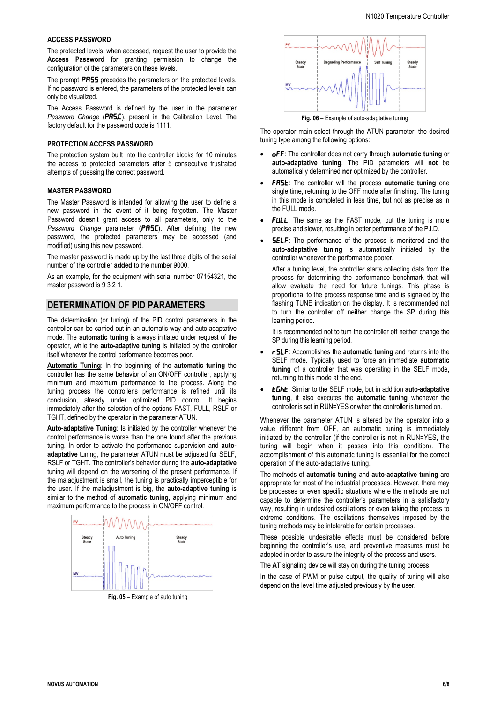#### **ACCESS PASSWORD**

The protected levels, when accessed, request the user to provide the **Access Password** for granting permission to change the configuration of the parameters on these levels.

The prompt **PR55** precedes the parameters on the protected levels. If no password is entered, the parameters of the protected levels can only be visualized.

The Access Password is defined by the user in the parameter *Password Change* (PRSE), present in the Calibration Level. The factory default for the password code is 1111.

#### **PROTECTION ACCESS PASSWORD**

The protection system built into the controller blocks for 10 minutes the access to protected parameters after 5 consecutive frustrated attempts of guessing the correct password.

#### **MASTER PASSWORD**

The Master Password is intended for allowing the user to define a new password in the event of it being forgotten. The Master Password doesn't grant access to all parameters, only to the Password Change parameter (PRSC). After defining the new password, the protected parameters may be accessed (and modified) using this new password.

The master password is made up by the last three digits of the serial number of the controller **added** to the number 9000.

As an example, for the equipment with serial number 07154321, the master password is 9 3 2 1.

# **DETERMINATION OF PID PARAMETERS**

The determination (or tuning) of the PID control parameters in the controller can be carried out in an automatic way and auto-adaptative mode. The **automatic tuning** is always initiated under request of the operator, while the **auto-adaptive tuning** is initiated by the controller itself whenever the control performance becomes poor.

**Automatic Tuning**: In the beginning of the **automatic tuning** the controller has the same behavior of an ON/OFF controller, applying minimum and maximum performance to the process. Along the tuning process the controller's performance is refined until its conclusion, already under optimized PID control. It begins immediately after the selection of the options FAST, FULL, RSLF or TGHT, defined by the operator in the parameter ATUN.

**Auto-adaptative Tuning**: Is initiated by the controller whenever the control performance is worse than the one found after the previous tuning. In order to activate the performance supervision and **autoadaptative** tuning, the parameter ATUN must be adjusted for SELF, RSLF or TGHT. The controller's behavior during the **auto-adaptative** tuning will depend on the worsening of the present performance. If the maladjustment is small, the tuning is practically imperceptible for the user. If the maladjustment is big, the **auto-adaptive tuning** is similar to the method of **automatic tuning**, applying minimum and maximum performance to the process in ON/OFF control.



**Fig. 05** – Example of auto tuning



**Fig. 06** – Example of auto-adaptative tuning

The operator main select through the ATUN parameter, the desired tuning type among the following options:

- OFF: The controller does not carry through **automatic tuning** or **auto-adaptative tuning**. The PID parameters will **not** be automatically determined **nor** optimized by the controller.
- FR5E: The controller will the process automatic tuning one single time, returning to the OFF mode after finishing. The tuning in this mode is completed in less time, but not as precise as in the FULL mode.
- **FULL:** The same as the FAST mode, but the tuning is more precise and slower, resulting in better performance of the P.I.D.
- **5ELF:** The performance of the process is monitored and the **auto-adaptative tuning** is automatically initiated by the controller whenever the performance poorer.

After a tuning level, the controller starts collecting data from the process for determining the performance benchmark that will allow evaluate the need for future tunings. This phase is proportional to the process response time and is signaled by the flashing TUNE indication on the display. It is recommended not to turn the controller off neither change the SP during this learning period.

It is recommended not to turn the controller off neither change the SP during this learning period.

- rSLF: Accomplishes the **automatic tuning** and returns into the SELF mode. Typically used to force an immediate **automatic tuning** of a controller that was operating in the SELF mode, returning to this mode at the end.
- *EGhE:* Similar to the SELF mode, but in addition **auto-adaptative tuning**, it also executes the **automatic tuning** whenever the controller is set in RUN=YES or when the controller is turned on.

Whenever the parameter ATUN is altered by the operator into a value different from OFF, an automatic tuning is immediately initiated by the controller (if the controller is not in RUN=YES, the tuning will begin when it passes into this condition). The accomplishment of this automatic tuning is essential for the correct operation of the auto-adaptative tuning.

The methods of **automatic tuning** and **auto-adaptative tuning** are appropriate for most of the industrial processes. However, there may be processes or even specific situations where the methods are not capable to determine the controller's parameters in a satisfactory way, resulting in undesired oscillations or even taking the process to extreme conditions. The oscillations themselves imposed by the tuning methods may be intolerable for certain processes.

These possible undesirable effects must be considered before beginning the controller's use, and preventive measures must be adopted in order to assure the integrity of the process and users.

The **AT** signaling device will stay on during the tuning process.

In the case of PWM or pulse output, the quality of tuning will also depend on the level time adjusted previously by the user.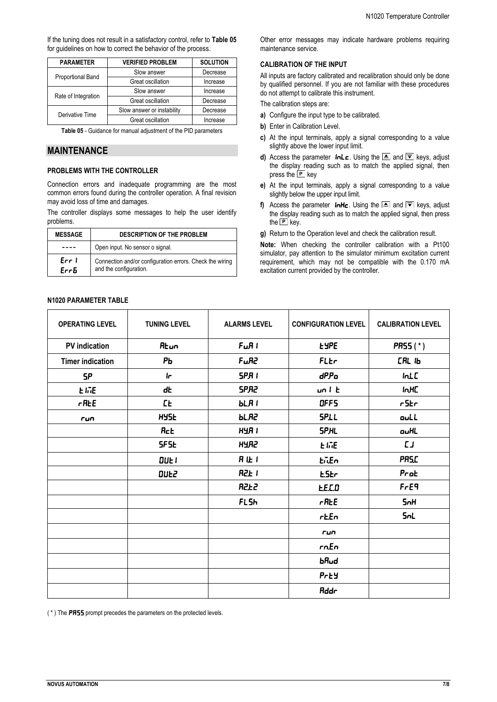If the tuning does not result in a satisfactory control, refer to **Table 05** for guidelines on how to correct the behavior of the process.

| <b>PARAMETER</b>    | <b>VERIFIED PROBLEM</b>    | <b>SOLUTION</b> |
|---------------------|----------------------------|-----------------|
|                     | Slow answer                | Decrease        |
| Proportional Band   | Great oscillation          | Increase        |
|                     | Slow answer                | Increase        |
| Rate of Integration | Great oscillation          | Decrease        |
|                     | Slow answer or instability | Decrease        |
| Derivative Time     | Great oscillation          | Increase        |

**Table 05** - Guidance for manual adjustment of the PID parameters

# **MAINTENANCE**

# **PROBLEMS WITH THE CONTROLLER**

Connection errors and inadequate programming are the most common errors found during the controller operation. A final revision may avoid loss of time and damages.

The controller displays some messages to help the user identify problems.

| <b>MESSAGE</b> | <b>DESCRIPTION OF THE PROBLEM</b>                                                  |  |  |
|----------------|------------------------------------------------------------------------------------|--|--|
|                | Open input. No sensor o signal.                                                    |  |  |
| Err I<br>Errb  | Connection and/or configuration errors. Check the wiring<br>and the configuration. |  |  |

Other error messages may indicate hardware problems requiring maintenance service.

# **CALIBRATION OF THE INPUT**

All inputs are factory calibrated and recalibration should only be done by qualified personnel. If you are not familiar with these procedures do not attempt to calibrate this instrument.

The calibration steps are:

- **a)** Configure the input type to be calibrated.
- **b)** Enter in Calibration Level.
- **c)** At the input terminals, apply a signal corresponding to a value slightly above the lower input limit.
- **d)** Access the parameter *inLc*. Using the  $\triangleq$  and  $\overline{\triangledown}$  keys, adjust the display reading such as to match the applied signal, then press the LPL key
- **e)** At the input terminals, apply a signal corresponding to a value slightly below the upper input limit.
- **f)** Access the parameter  $\mathbf{InHc}$ . Using the  $\triangleq$  and  $\overline{\blacktriangledown}$  keys, adjust the display reading such as to match the applied signal, then press the L<sup>P</sup> key.
- **g)** Return to the Operation level and check the calibration result.

**Note:** When checking the controller calibration with a Pt100 simulator, pay attention to the simulator minimum excitation current requirement, which may not be compatible with the 0.170 mA excitation current provided by the controller.

| <b>OPERATING LEVEL</b>   | <b>TUNING LEVEL</b> | <b>ALARMS LEVEL</b> | <b>CONFIGURATION LEVEL</b>   | <b>CALIBRATION LEVEL</b> |
|--------------------------|---------------------|---------------------|------------------------------|--------------------------|
| <b>PV</b> indication     | <b>R</b> tun        | $F \cup R$          | <b>LYPE</b>                  | PR55(*)                  |
| <b>Timer indication</b>  | PЬ                  | FuR2                | FLEr                         | <b>САL IЬ</b>            |
| <b>SP</b>                | $\mathbf{r}$        | <b>SPRI</b>         | dP.Po                        | <b>InLC</b>              |
| E INE                    | dŁ                  | <b>SPR2</b>         | un <sub>l</sub> <sub>k</sub> | IMC                      |
| $r$ $R$ <sub>E</sub> $E$ | <b>LE</b>           | <b>bLRI</b>         | OFFS                         | rStr                     |
| run                      | <b>HYSE</b>         | <b>bLR2</b>         | <b>SPLL</b>                  | ouLL                     |
|                          | <b>Rct</b>          | HYR I               | <b>SPHL</b>                  | ouHL                     |
|                          | <b>SFSE</b>         | <b>HYR2</b>         | <b>EINE</b>                  | LJ                       |
|                          | DUE I               | <b>R 让 1</b>        | EnEn                         | <b>PRS.C</b>             |
|                          | DUE2                | R2E <sub>1</sub>    | <b>ESEr</b>                  | Prot                     |
|                          |                     | <b>R2E2</b>         | <b>E.E.C.D</b>               | $F - E9$                 |
|                          |                     | <b>FLSh</b>         | $r$ $R$ <sub>E</sub> $E$     | 5 <sub>n</sub> H         |
|                          |                     |                     | rtEn                         | <b>SnL</b>               |
|                          |                     |                     | run                          |                          |
|                          |                     |                     | rnEn                         |                          |
|                          |                     |                     | bRud                         |                          |
|                          |                     |                     | Prty                         |                          |
|                          |                     |                     | <b>Rddr</b>                  |                          |

**N1020 PARAMETER TABLE**

(\*) The PR55 prompt precedes the parameters on the protected levels.